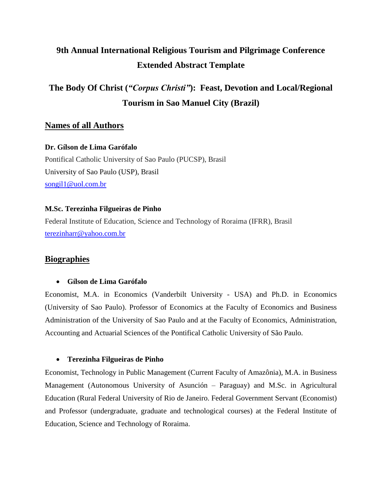# **9th Annual International Religious Tourism and Pilgrimage Conference Extended Abstract Template**

# **The Body Of Christ (***"Corpus Christi"***): Feast, Devotion and Local/Regional Tourism in Sao Manuel City (Brazil)**

# **Names of all Authors**

#### **Dr. Gílson de Lima Garófalo**

Pontifical Catholic University of Sao Paulo (PUCSP), Brasil University of Sao Paulo (USP), Brasil [songil1@uol.com.br](mailto:songil1@uol.com.br)

### **M.Sc. Terezinha Filgueiras de Pinho**

Federal Institute of Education, Science and Technology of Roraima (IFRR), Brasil [terezinharr@yahoo.com.br](mailto:terezinharr@yahoo.com.br)

# **Biographies**

#### • **Gílson de Lima Garófalo**

Economist, M.A. in Economics (Vanderbilt University - USA) and Ph.D. in Economics (University of Sao Paulo). Professor of Economics at the Faculty of Economics and Business Administration of the University of Sao Paulo and at the Faculty of Economics, Administration, Accounting and Actuarial Sciences of the Pontifical Catholic University of São Paulo.

#### • **Terezinha Filgueiras de Pinho**

Economist, Technology in Public Management (Current Faculty of Amazônia), M.A. in Business Management (Autonomous University of Asunción – Paraguay) and M.Sc. in Agricultural Education (Rural Federal University of Rio de Janeiro. Federal Government Servant (Economist) and Professor (undergraduate, graduate and technological courses) at the Federal Institute of Education, Science and Technology of Roraima.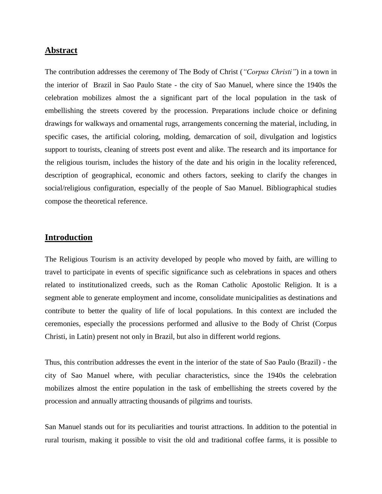### **Abstract**

The contribution addresses the ceremony of The Body of Christ (*"Corpus Christi"*) in a town in the interior of Brazil in Sao Paulo State - the city of Sao Manuel, where since the 1940s the celebration mobilizes almost the a significant part of the local population in the task of embellishing the streets covered by the procession. Preparations include choice or defining drawings for walkways and ornamental rugs, arrangements concerning the material, including, in specific cases, the artificial coloring, molding, demarcation of soil, divulgation and logistics support to tourists, cleaning of streets post event and alike. The research and its importance for the religious tourism, includes the history of the date and his origin in the locality referenced, description of geographical, economic and others factors, seeking to clarify the changes in social/religious configuration, especially of the people of Sao Manuel. Bibliographical studies compose the theoretical reference.

## **Introduction**

The Religious Tourism is an activity developed by people who moved by faith, are willing to travel to participate in events of specific significance such as celebrations in spaces and others related to institutionalized creeds, such as the Roman Catholic Apostolic Religion. It is a segment able to generate employment and income, consolidate municipalities as destinations and contribute to better the quality of life of local populations. In this context are included the ceremonies, especially the processions performed and allusive to the Body of Christ (Corpus Christi, in Latin) present not only in Brazil, but also in different world regions.

Thus, this contribution addresses the event in the interior of the state of Sao Paulo (Brazil) - the city of Sao Manuel where, with peculiar characteristics, since the 1940s the celebration mobilizes almost the entire population in the task of embellishing the streets covered by the procession and annually attracting thousands of pilgrims and tourists.

San Manuel stands out for its peculiarities and tourist attractions. In addition to the potential in rural tourism, making it possible to visit the old and traditional coffee farms, it is possible to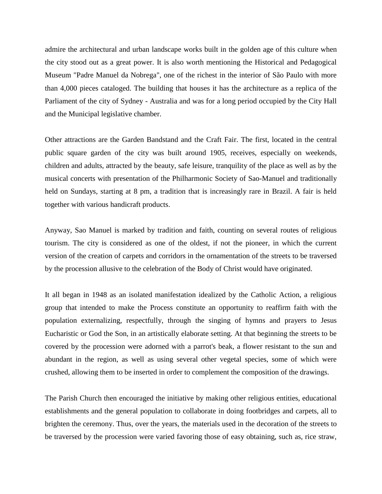admire the architectural and urban landscape works built in the golden age of this culture when the city stood out as a great power. It is also worth mentioning the Historical and Pedagogical Museum "Padre Manuel da Nobrega", one of the richest in the interior of São Paulo with more than 4,000 pieces cataloged. The building that houses it has the architecture as a replica of the Parliament of the city of Sydney - Australia and was for a long period occupied by the City Hall and the Municipal legislative chamber.

Other attractions are the Garden Bandstand and the Craft Fair. The first, located in the central public square garden of the city was built around 1905, receives, especially on weekends, children and adults, attracted by the beauty, safe leisure, tranquility of the place as well as by the musical concerts with presentation of the Philharmonic Society of Sao-Manuel and traditionally held on Sundays, starting at 8 pm, a tradition that is increasingly rare in Brazil. A fair is held together with various handicraft products.

Anyway, Sao Manuel is marked by tradition and faith, counting on several routes of religious tourism. The city is considered as one of the oldest, if not the pioneer, in which the current version of the creation of carpets and corridors in the ornamentation of the streets to be traversed by the procession allusive to the celebration of the Body of Christ would have originated.

It all began in 1948 as an isolated manifestation idealized by the Catholic Action, a religious group that intended to make the Process constitute an opportunity to reaffirm faith with the population externalizing, respectfully, through the singing of hymns and prayers to Jesus Eucharistic or God the Son, in an artistically elaborate setting. At that beginning the streets to be covered by the procession were adorned with a parrot's beak, a flower resistant to the sun and abundant in the region, as well as using several other vegetal species, some of which were crushed, allowing them to be inserted in order to complement the composition of the drawings.

The Parish Church then encouraged the initiative by making other religious entities, educational establishments and the general population to collaborate in doing footbridges and carpets, all to brighten the ceremony. Thus, over the years, the materials used in the decoration of the streets to be traversed by the procession were varied favoring those of easy obtaining, such as, rice straw,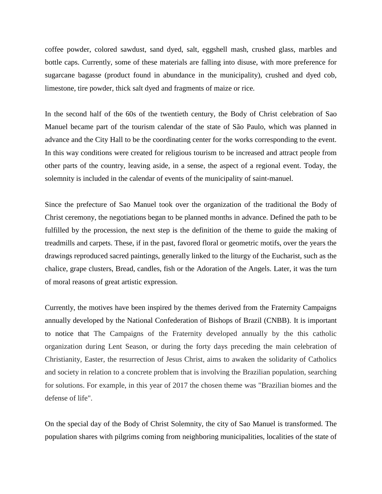coffee powder, colored sawdust, sand dyed, salt, eggshell mash, crushed glass, marbles and bottle caps. Currently, some of these materials are falling into disuse, with more preference for sugarcane bagasse (product found in abundance in the municipality), crushed and dyed cob, limestone, tire powder, thick salt dyed and fragments of maize or rice.

In the second half of the 60s of the twentieth century, the Body of Christ celebration of Sao Manuel became part of the tourism calendar of the state of São Paulo, which was planned in advance and the City Hall to be the coordinating center for the works corresponding to the event. In this way conditions were created for religious tourism to be increased and attract people from other parts of the country, leaving aside, in a sense, the aspect of a regional event. Today, the solemnity is included in the calendar of events of the municipality of saint-manuel.

Since the prefecture of Sao Manuel took over the organization of the traditional the Body of Christ ceremony, the negotiations began to be planned months in advance. Defined the path to be fulfilled by the procession, the next step is the definition of the theme to guide the making of treadmills and carpets. These, if in the past, favored floral or geometric motifs, over the years the drawings reproduced sacred paintings, generally linked to the liturgy of the Eucharist, such as the chalice, grape clusters, Bread, candles, fish or the Adoration of the Angels. Later, it was the turn of moral reasons of great artistic expression.

Currently, the motives have been inspired by the themes derived from the Fraternity Campaigns annually developed by the National Confederation of Bishops of Brazil (CNBB). It is important to notice that The Campaigns of the Fraternity developed annually by the this catholic organization during Lent Season, or during the forty days preceding the main celebration of Christianity, Easter, the resurrection of Jesus Christ, aims to awaken the solidarity of Catholics and society in relation to a concrete problem that is involving the Brazilian population, searching for solutions. For example, in this year of 2017 the chosen theme was "Brazilian biomes and the defense of life".

On the special day of the Body of Christ Solemnity, the city of Sao Manuel is transformed. The population shares with pilgrims coming from neighboring municipalities, localities of the state of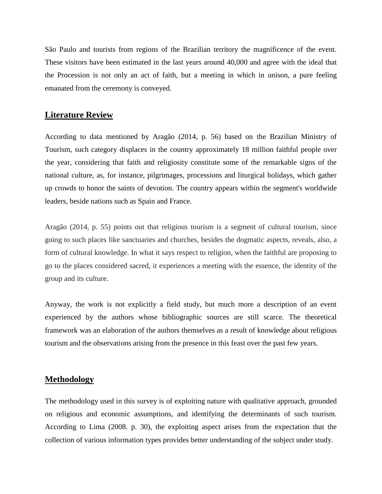São Paulo and tourists from regions of the Brazilian territory the magnificence of the event. These visitors have been estimated in the last years around 40,000 and agree with the ideal that the Procession is not only an act of faith, but a meeting in which in unison, a pure feeling emanated from the ceremony is conveyed.

#### **Literature Review**

According to data mentioned by Aragão (2014, p. 56) based on the Brazilian Ministry of Tourism, such category displaces in the country approximately 18 million faithful people over the year, considering that faith and religiosity constitute some of the remarkable signs of the national culture, as, for instance, pilgrimages, processions and liturgical holidays, which gather up crowds to honor the saints of devotion. The country appears within the segment's worldwide leaders, beside nations such as Spain and France.

Aragão (2014, p. 55) points out that religious tourism is a segment of cultural tourism, since going to such places like sanctuaries and churches, besides the dogmatic aspects, reveals, also, a form of cultural knowledge. In what it says respect to religion, when the faithful are proposing to go to the places considered sacred, it experiences a meeting with the essence, the identity of the group and its culture.

Anyway, the work is not explicitly a field study, but much more a description of an event experienced by the authors whose bibliographic sources are still scarce. The theoretical framework was an elaboration of the authors themselves as a result of knowledge about religious tourism and the observations arising from the presence in this feast over the past few years.

## **Methodology**

The methodology used in this survey is of exploiting nature with qualitative approach, grounded on religious and economic assumptions, and identifying the determinants of such tourism. According to Lima (2008. p. 30), the exploiting aspect arises from the expectation that the collection of various information types provides better understanding of the subject under study.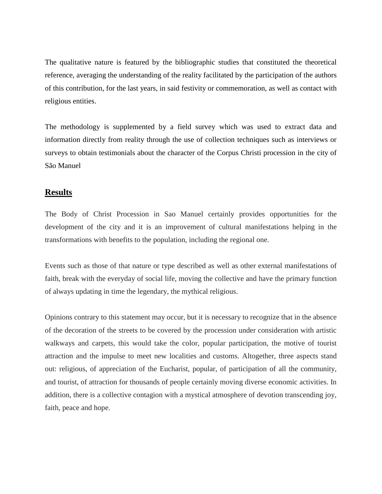The qualitative nature is featured by the bibliographic studies that constituted the theoretical reference, averaging the understanding of the reality facilitated by the participation of the authors of this contribution, for the last years, in said festivity or commemoration, as well as contact with religious entities.

The methodology is supplemented by a field survey which was used to extract data and information directly from reality through the use of collection techniques such as interviews or surveys to obtain testimonials about the character of the Corpus Christi procession in the city of São Manuel

#### **Results**

The Body of Christ Procession in Sao Manuel certainly provides opportunities for the development of the city and it is an improvement of cultural manifestations helping in the transformations with benefits to the population, including the regional one.

Events such as those of that nature or type described as well as other external manifestations of faith, break with the everyday of social life, moving the collective and have the primary function of always updating in time the legendary, the mythical religious.

Opinions contrary to this statement may occur, but it is necessary to recognize that in the absence of the decoration of the streets to be covered by the procession under consideration with artistic walkways and carpets, this would take the color, popular participation, the motive of tourist attraction and the impulse to meet new localities and customs. Altogether, three aspects stand out: religious, of appreciation of the Eucharist, popular, of participation of all the community, and tourist, of attraction for thousands of people certainly moving diverse economic activities. In addition, there is a collective contagion with a mystical atmosphere of devotion transcending joy, faith, peace and hope.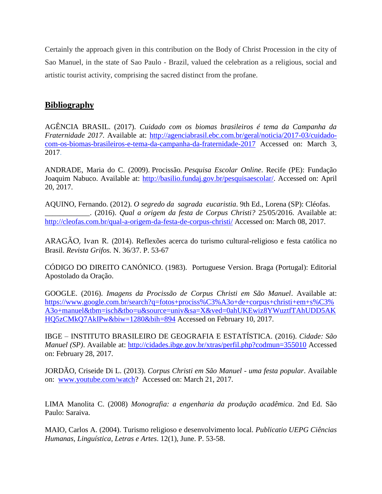Certainly the approach given in this contribution on the Body of Christ Procession in the city of Sao Manuel, in the state of Sao Paulo - Brazil, valued the celebration as a religious, social and artistic tourist activity, comprising the sacred distinct from the profane.

# **Bibliography**

AGÊNCIA BRASIL. (2017). *[Cuidado com os biomas brasileiros é tema da Campanha da](http://agenciabrasil.ebc.com.br/geral/noticia/2017-03/cuidado-com-os-biomas-brasileiros-e-tema-da-campanha-da-fraternidade-2017)  [Fraternidade 2017](http://agenciabrasil.ebc.com.br/geral/noticia/2017-03/cuidado-com-os-biomas-brasileiros-e-tema-da-campanha-da-fraternidade-2017)*. Available at: [http://agenciabrasil.ebc.com.br/geral/noticia/2017-03/cuidado](http://agenciabrasil.ebc.com.br/geral/noticia/2017-03/cuidado-com-os-biomas-brasileiros-e-tema-da-campanha-da-fraternidade-2017)[com-os-biomas-brasileiros-e-tema-da-campanha-da-fraternidade-2017](http://agenciabrasil.ebc.com.br/geral/noticia/2017-03/cuidado-com-os-biomas-brasileiros-e-tema-da-campanha-da-fraternidade-2017) Accessed on: March 3, 2017.

ANDRADE, Maria do C. (2009). Procissão*. Pesquisa Escolar Online*. Recife (PE): Fundação Joaquim Nabuco. Available at: [http://basilio.fundaj.gov.br/pesquisaescolar/.](http://basilio.fundaj.gov.br/pesquisaescolar/index.php) Accessed on: April 20, 2017.

AQUINO, Fernando. (2012). *O segredo da sagrada eucaristia*. 9th Ed., Lorena (SP): Cléofas. \_\_\_\_\_\_\_\_\_\_\_\_. (2016). *Qual a origem da festa de Corpus Christi?* 25/05/2016. Available at: <http://cleofas.com.br/qual-a-origem-da-festa-de-corpus-christi/> Accessed on: March 08, 2017.

ARAGÃO, Ivan R. (2014). Reflexões acerca do turismo cultural-religioso e festa católica no Brasil. *Revista Grifos.* N. 36/37. P. 53-67

CÓDIGO DO DIREITO CANÓNICO. (1983). Portuguese Version. Braga (Portugal): Editorial Apostolado da Oração.

GOOGLE. (2016). *Imagens da Procissão de Corpus Christi em São Manuel*. Available at: [https://www.google.com.br/search?q=fotos+prociss%C3%A3o+de+corpus+christi+em+s%C3%](https://www.google.com.br/search?q=fotos+prociss%C3%A3o+de+corpus+christi+em+s%C3%A3o+manuel&tbm=isch&tbo=u&source=univ&sa=X&ved=0ahUKEwiz8YWuztfTAhUDD5AKHQ5zCMkQ7AkIPw&biw=1280&bih=894) [A3o+manuel&tbm=isch&tbo=u&source=univ&sa=X&ved=0ahUKEwiz8YWuztfTAhUDD5AK](https://www.google.com.br/search?q=fotos+prociss%C3%A3o+de+corpus+christi+em+s%C3%A3o+manuel&tbm=isch&tbo=u&source=univ&sa=X&ved=0ahUKEwiz8YWuztfTAhUDD5AKHQ5zCMkQ7AkIPw&biw=1280&bih=894) [HQ5zCMkQ7AkIPw&biw=1280&bih=894](https://www.google.com.br/search?q=fotos+prociss%C3%A3o+de+corpus+christi+em+s%C3%A3o+manuel&tbm=isch&tbo=u&source=univ&sa=X&ved=0ahUKEwiz8YWuztfTAhUDD5AKHQ5zCMkQ7AkIPw&biw=1280&bih=894) Accessed on February 10, 2017.

IBGE – INSTITUTO BRASILEIRO DE GEOGRAFIA E ESTATÍSTICA. (2016). *Cidade: São Manuel (SP)*. Available at:<http://cidades.ibge.gov.br/xtras/perfil.php?codmun=355010> Accessed on: February 28, 2017.

JORDÃO, Criseide Di L. (2013). *Corpus Christi em São Manuel - uma festa popular*. Available on: [www.youtube.com/watch?](http://www.youtube.com/watch) Accessed on: March 21, 2017.

LIMA Manolita C. (2008) *Monografia: a engenharia da produção acadêmica*. 2nd Ed. São Paulo: Saraiva.

MAIO, Carlos A. (2004). Turismo religioso e desenvolvimento local. *Publicatio UEPG Ciências Humanas, Linguística, Letras e Artes*. 12(1), June. P. 53-58.